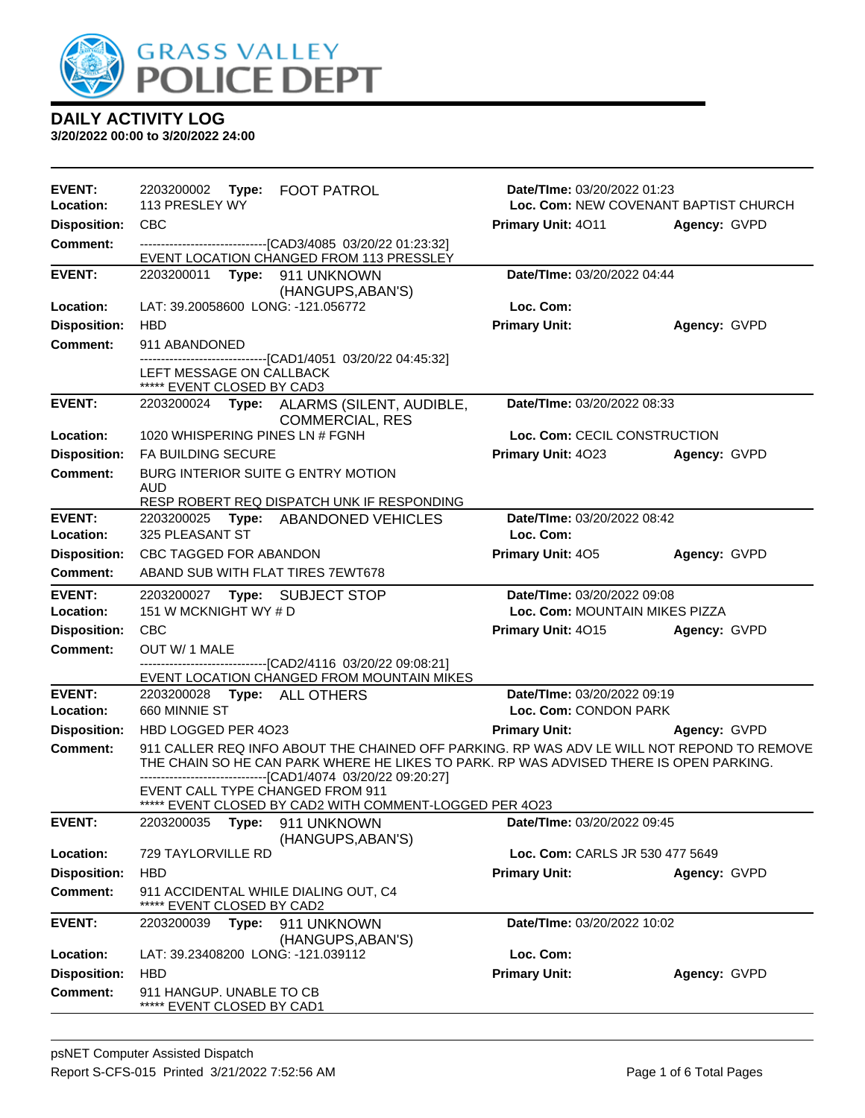

| <b>EVENT:</b><br>Location: | 2203200002 Type: FOOT PATROL<br>113 PRESLEY WY                                                                                                        | <b>Date/Time: 03/20/2022 01:23</b><br>Loc. Com: NEW COVENANT BAPTIST CHURCH                |              |  |
|----------------------------|-------------------------------------------------------------------------------------------------------------------------------------------------------|--------------------------------------------------------------------------------------------|--------------|--|
| <b>Disposition:</b>        | CBC                                                                                                                                                   | Primary Unit: 4011                                                                         | Agency: GVPD |  |
| <b>Comment:</b>            | -------------------------------[CAD3/4085 03/20/22 01:23:32]                                                                                          |                                                                                            |              |  |
|                            | EVENT LOCATION CHANGED FROM 113 PRESSLEY                                                                                                              |                                                                                            |              |  |
| <b>EVENT:</b>              | 2203200011 Type: 911 UNKNOWN                                                                                                                          | Date/TIme: 03/20/2022 04:44                                                                |              |  |
|                            | (HANGUPS, ABAN'S)                                                                                                                                     |                                                                                            |              |  |
| Location:                  | LAT: 39.20058600 LONG: -121.056772                                                                                                                    | Loc. Com:                                                                                  |              |  |
| <b>Disposition:</b>        | <b>HBD</b><br>911 ABANDONED                                                                                                                           | <b>Primary Unit:</b>                                                                       | Agency: GVPD |  |
| <b>Comment:</b>            | -------------------------------[CAD1/4051 03/20/22 04:45:32]                                                                                          |                                                                                            |              |  |
|                            | LEFT MESSAGE ON CALLBACK<br>***** EVENT CLOSED BY CAD3                                                                                                |                                                                                            |              |  |
| <b>EVENT:</b>              | 2203200024 Type: ALARMS (SILENT, AUDIBLE,<br><b>COMMERCIAL, RES</b>                                                                                   | Date/TIme: 03/20/2022 08:33                                                                |              |  |
| Location:                  | 1020 WHISPERING PINES LN # FGNH                                                                                                                       | Loc. Com: CECIL CONSTRUCTION                                                               |              |  |
| <b>Disposition:</b>        | FA BUILDING SECURE                                                                                                                                    | Primary Unit: 4023                                                                         | Agency: GVPD |  |
| <b>Comment:</b>            | BURG INTERIOR SUITE G ENTRY MOTION<br>AUD                                                                                                             |                                                                                            |              |  |
|                            | RESP ROBERT REQ DISPATCH UNK IF RESPONDING                                                                                                            | Date/TIme: 03/20/2022 08:42                                                                |              |  |
| <b>EVENT:</b><br>Location: | 2203200025 Type: ABANDONED VEHICLES<br>325 PLEASANT ST                                                                                                | Loc. Com:                                                                                  |              |  |
| <b>Disposition:</b>        | CBC TAGGED FOR ABANDON                                                                                                                                | <b>Primary Unit: 405</b>                                                                   | Agency: GVPD |  |
| Comment:                   | ABAND SUB WITH FLAT TIRES 7EWT678                                                                                                                     |                                                                                            |              |  |
| <b>EVENT:</b>              | 2203200027 Type: SUBJECT STOP                                                                                                                         | Date/TIme: 03/20/2022 09:08                                                                |              |  |
| Location:                  | 151 W MCKNIGHT WY # D                                                                                                                                 | Loc. Com: MOUNTAIN MIKES PIZZA                                                             |              |  |
| <b>Disposition:</b>        | CBC                                                                                                                                                   | <b>Primary Unit: 4015</b>                                                                  | Agency: GVPD |  |
| <b>Comment:</b>            | OUT W/ 1 MALE                                                                                                                                         |                                                                                            |              |  |
|                            | -------------------------------[CAD2/4116 03/20/22 09:08:21]<br>EVENT LOCATION CHANGED FROM MOUNTAIN MIKES                                            |                                                                                            |              |  |
| <b>EVENT:</b>              |                                                                                                                                                       | Date/TIme: 03/20/2022 09:19                                                                |              |  |
| Location:                  | 660 MINNIE ST                                                                                                                                         | Loc. Com: CONDON PARK                                                                      |              |  |
| <b>Disposition:</b>        | HBD LOGGED PER 4023                                                                                                                                   | <b>Primary Unit:</b>                                                                       | Agency: GVPD |  |
| <b>Comment:</b>            | THE CHAIN SO HE CAN PARK WHERE HE LIKES TO PARK. RP WAS ADVISED THERE IS OPEN PARKING.<br>------------------------------[CAD1/4074_03/20/22_09:20:27] | 911 CALLER REQ INFO ABOUT THE CHAINED OFF PARKING. RP WAS ADV LE WILL NOT REPOND TO REMOVE |              |  |
|                            | EVENT CALL TYPE CHANGED FROM 911<br>***** EVENT CLOSED BY CAD2 WITH COMMENT-LOGGED PER 4023                                                           |                                                                                            |              |  |
| <b>EVENT:</b>              | 911 UNKNOWN<br>2203200035<br>Type:<br>(HANGUPS, ABAN'S)                                                                                               | Date/TIme: 03/20/2022 09:45                                                                |              |  |
| Location:                  | 729 TAYLORVILLE RD                                                                                                                                    | Loc. Com: CARLS JR 530 477 5649                                                            |              |  |
| <b>Disposition:</b>        | <b>HBD</b>                                                                                                                                            | <b>Primary Unit:</b>                                                                       | Agency: GVPD |  |
| <b>Comment:</b>            | 911 ACCIDENTAL WHILE DIALING OUT, C4<br>***** EVENT CLOSED BY CAD2                                                                                    |                                                                                            |              |  |
| <b>EVENT:</b>              | 2203200039<br>Type:<br>911 UNKNOWN                                                                                                                    | Date/TIme: 03/20/2022 10:02                                                                |              |  |
|                            | (HANGUPS, ABAN'S)                                                                                                                                     |                                                                                            |              |  |
| Location:                  | LAT: 39.23408200 LONG: -121.039112                                                                                                                    | Loc. Com:                                                                                  |              |  |
| <b>Disposition:</b>        | <b>HBD</b>                                                                                                                                            | <b>Primary Unit:</b>                                                                       | Agency: GVPD |  |
| <b>Comment:</b>            | 911 HANGUP. UNABLE TO CB<br>***** EVENT CLOSED BY CAD1                                                                                                |                                                                                            |              |  |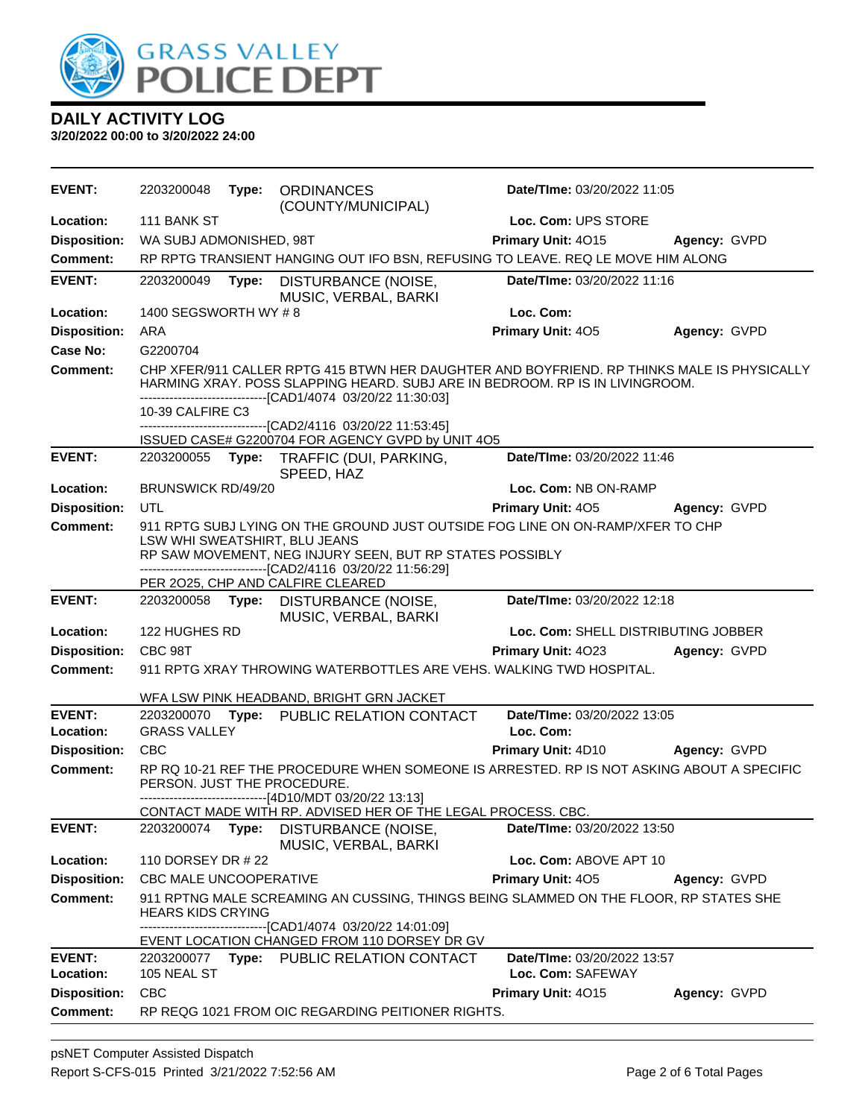

| <b>EVENT:</b>              | 2203200048                    |       | Type: ORDINANCES<br>(COUNTY/MUNICIPAL)                                                                                                                                                                                                     | Date/TIme: 03/20/2022 11:05                      |              |
|----------------------------|-------------------------------|-------|--------------------------------------------------------------------------------------------------------------------------------------------------------------------------------------------------------------------------------------------|--------------------------------------------------|--------------|
| Location:                  | 111 BANK ST                   |       |                                                                                                                                                                                                                                            | Loc. Com: UPS STORE                              |              |
| <b>Disposition:</b>        | WA SUBJ ADMONISHED, 98T       |       |                                                                                                                                                                                                                                            | Primary Unit: 4015                               | Agency: GVPD |
| <b>Comment:</b>            |                               |       | RP RPTG TRANSIENT HANGING OUT IFO BSN, REFUSING TO LEAVE. REQ LE MOVE HIM ALONG                                                                                                                                                            |                                                  |              |
| <b>EVENT:</b>              | 2203200049                    | Type: | DISTURBANCE (NOISE,<br>MUSIC, VERBAL, BARKI                                                                                                                                                                                                | Date/TIme: 03/20/2022 11:16                      |              |
| Location:                  | 1400 SEGSWORTH WY #8          |       |                                                                                                                                                                                                                                            | Loc. Com:                                        |              |
| <b>Disposition:</b>        | ARA                           |       |                                                                                                                                                                                                                                            | Primary Unit: 405                                | Agency: GVPD |
| <b>Case No:</b>            | G2200704                      |       |                                                                                                                                                                                                                                            |                                                  |              |
| <b>Comment:</b>            |                               |       | CHP XFER/911 CALLER RPTG 415 BTWN HER DAUGHTER AND BOYFRIEND. RP THINKS MALE IS PHYSICALLY<br>HARMING XRAY. POSS SLAPPING HEARD. SUBJ ARE IN BEDROOM. RP IS IN LIVINGROOM.<br>-------------------------------[CAD1/4074 03/20/22 11:30:03] |                                                  |              |
|                            | 10-39 CALFIRE C3              |       |                                                                                                                                                                                                                                            |                                                  |              |
|                            |                               |       | -------------------------------[CAD2/4116 03/20/22 11:53:45]<br>ISSUED CASE# G2200704 FOR AGENCY GVPD by UNIT 4O5                                                                                                                          |                                                  |              |
| <b>EVENT:</b>              |                               |       | 2203200055 Type: TRAFFIC (DUI, PARKING,<br>SPEED, HAZ                                                                                                                                                                                      | Date/TIme: 03/20/2022 11:46                      |              |
| Location:                  | <b>BRUNSWICK RD/49/20</b>     |       |                                                                                                                                                                                                                                            | Loc. Com: NB ON-RAMP                             |              |
| <b>Disposition:</b>        | <b>UTL</b>                    |       |                                                                                                                                                                                                                                            | <b>Primary Unit: 405</b>                         | Agency: GVPD |
| <b>Comment:</b>            |                               |       | 911 RPTG SUBJ LYING ON THE GROUND JUST OUTSIDE FOG LINE ON ON-RAMP/XFER TO CHP<br>LSW WHI SWEATSHIRT, BLU JEANS<br>RP SAW MOVEMENT, NEG INJURY SEEN, BUT RP STATES POSSIBLY                                                                |                                                  |              |
|                            |                               |       | --------------------------------[CAD2/4116 03/20/22 11:56:29]                                                                                                                                                                              |                                                  |              |
| <b>EVENT:</b>              |                               |       | PER 2025, CHP AND CALFIRE CLEARED<br>2203200058 Type: DISTURBANCE (NOISE,                                                                                                                                                                  | Date/TIme: 03/20/2022 12:18                      |              |
|                            |                               |       | MUSIC, VERBAL, BARKI                                                                                                                                                                                                                       |                                                  |              |
| Location:                  | 122 HUGHES RD                 |       |                                                                                                                                                                                                                                            | Loc. Com: SHELL DISTRIBUTING JOBBER              |              |
| <b>Disposition:</b>        | CBC 98T                       |       |                                                                                                                                                                                                                                            | <b>Primary Unit: 4023</b>                        | Agency: GVPD |
| <b>Comment:</b>            |                               |       | 911 RPTG XRAY THROWING WATERBOTTLES ARE VEHS. WALKING TWD HOSPITAL.                                                                                                                                                                        |                                                  |              |
|                            |                               |       | WFA LSW PINK HEADBAND, BRIGHT GRN JACKET                                                                                                                                                                                                   |                                                  |              |
| <b>EVENT:</b>              |                               |       | 2203200070 Type: PUBLIC RELATION CONTACT                                                                                                                                                                                                   | Date/TIme: 03/20/2022 13:05                      |              |
| Location:                  | <b>GRASS VALLEY</b>           |       |                                                                                                                                                                                                                                            | Loc. Com:                                        |              |
| <b>Disposition:</b>        | <b>CBC</b>                    |       |                                                                                                                                                                                                                                            | <b>Primary Unit: 4D10</b>                        | Agency: GVPD |
| <b>Comment:</b>            | PERSON. JUST THE PROCEDURE.   |       | RP RQ 10-21 REF THE PROCEDURE WHEN SOMEONE IS ARRESTED. RP IS NOT ASKING ABOUT A SPECIFIC<br>--------------------------------[4D10/MDT 03/20/22 13:13]                                                                                     |                                                  |              |
|                            |                               |       | CONTACT MADE WITH RP. ADVISED HER OF THE LEGAL PROCESS. CBC.                                                                                                                                                                               |                                                  |              |
| <b>EVENT:</b>              | 2203200074                    | Type: | DISTURBANCE (NOISE,<br>MUSIC, VERBAL, BARKI                                                                                                                                                                                                | Date/TIme: 03/20/2022 13:50                      |              |
| Location:                  | 110 DORSEY DR # 22            |       |                                                                                                                                                                                                                                            | Loc. Com: ABOVE APT 10                           |              |
| <b>Disposition:</b>        | <b>CBC MALE UNCOOPERATIVE</b> |       |                                                                                                                                                                                                                                            | Primary Unit: 405                                | Agency: GVPD |
| <b>Comment:</b>            | <b>HEARS KIDS CRYING</b>      |       | 911 RPTNG MALE SCREAMING AN CUSSING, THINGS BEING SLAMMED ON THE FLOOR, RP STATES SHE<br>--------------------------------[CAD1/4074 03/20/22 14:01:09]                                                                                     |                                                  |              |
|                            |                               |       | EVENT LOCATION CHANGED FROM 110 DORSEY DR GV                                                                                                                                                                                               |                                                  |              |
| <b>EVENT:</b><br>Location: | 105 NEAL ST                   |       | 2203200077 Type: PUBLIC RELATION CONTACT                                                                                                                                                                                                   | Date/TIme: 03/20/2022 13:57<br>Loc. Com: SAFEWAY |              |
| <b>Disposition:</b>        | <b>CBC</b>                    |       |                                                                                                                                                                                                                                            | Primary Unit: 4015                               | Agency: GVPD |
| <b>Comment:</b>            |                               |       | RP REQG 1021 FROM OIC REGARDING PEITIONER RIGHTS.                                                                                                                                                                                          |                                                  |              |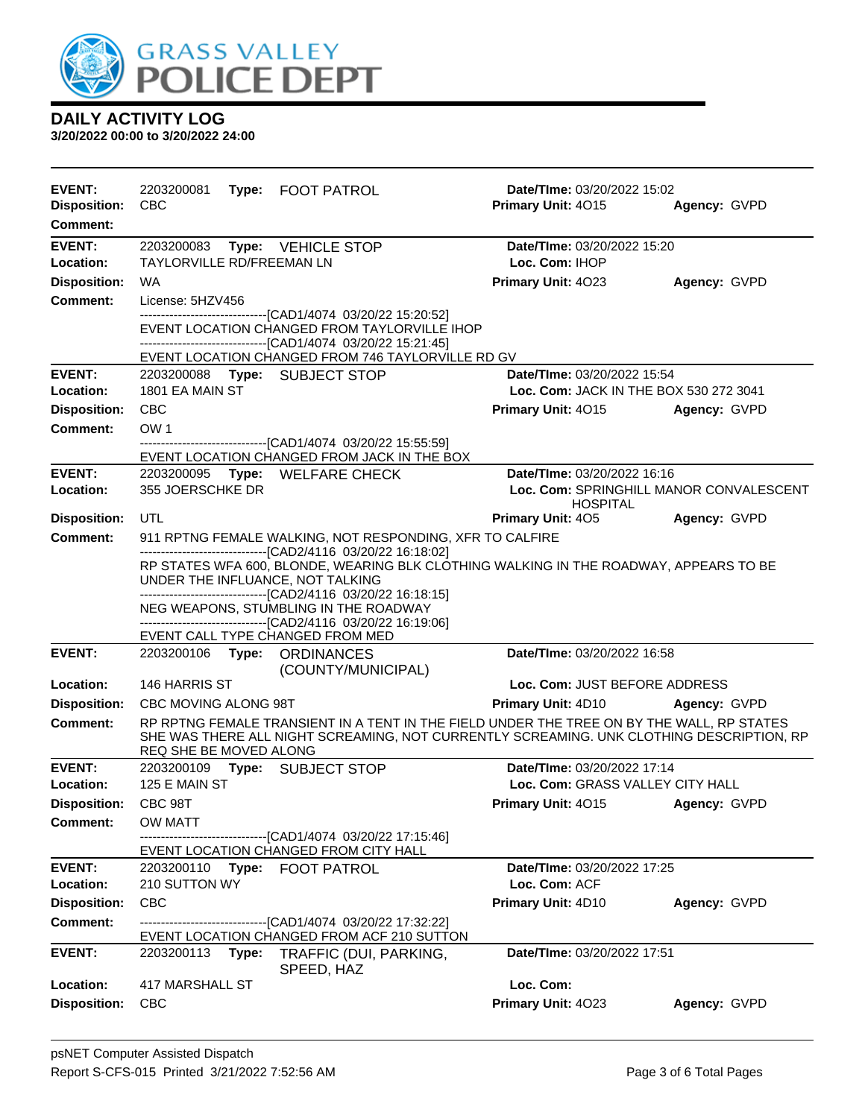

| <b>EVENT:</b><br><b>Disposition:</b><br>Comment: | 2203200081<br><b>CBC</b>                                             | Type: FOOT PATROL                                                                                                                                                                                                                                                                                                              | Date/TIme: 03/20/2022 15:02<br>Primary Unit: 4015          | Agency: GVPD |
|--------------------------------------------------|----------------------------------------------------------------------|--------------------------------------------------------------------------------------------------------------------------------------------------------------------------------------------------------------------------------------------------------------------------------------------------------------------------------|------------------------------------------------------------|--------------|
| <b>EVENT:</b>                                    | 2203200083 Type: VEHICLE STOP                                        |                                                                                                                                                                                                                                                                                                                                | Date/TIme: 03/20/2022 15:20                                |              |
| Location:                                        | <b>TAYLORVILLE RD/FREEMAN LN</b>                                     |                                                                                                                                                                                                                                                                                                                                | Loc. Com: IHOP                                             |              |
| <b>Disposition:</b>                              | WA                                                                   |                                                                                                                                                                                                                                                                                                                                | Primary Unit: 4023                                         | Agency: GVPD |
| <b>Comment:</b>                                  | License: 5HZV456                                                     |                                                                                                                                                                                                                                                                                                                                |                                                            |              |
|                                                  |                                                                      | -------------------------[CAD1/4074_03/20/22 15:20:52]<br>EVENT LOCATION CHANGED FROM TAYLORVILLE IHOP<br>--------------------------------[CAD1/4074 03/20/22 15:21:45]                                                                                                                                                        |                                                            |              |
| <b>EVENT:</b>                                    | 2203200088 Type: SUBJECT STOP                                        | EVENT LOCATION CHANGED FROM 746 TAYLORVILLE RD GV                                                                                                                                                                                                                                                                              | Date/TIme: 03/20/2022 15:54                                |              |
| Location:                                        | 1801 EA MAIN ST                                                      |                                                                                                                                                                                                                                                                                                                                | Loc. Com: JACK IN THE BOX 530 272 3041                     |              |
| <b>Disposition:</b>                              | <b>CBC</b>                                                           |                                                                                                                                                                                                                                                                                                                                | Primary Unit: 4015                                         | Agency: GVPD |
| <b>Comment:</b>                                  | OW <sub>1</sub>                                                      |                                                                                                                                                                                                                                                                                                                                |                                                            |              |
|                                                  |                                                                      | -------------------------------[CAD1/4074_03/20/22 15:55:59]<br>EVENT LOCATION CHANGED FROM JACK IN THE BOX                                                                                                                                                                                                                    |                                                            |              |
| <b>EVENT:</b>                                    | 2203200095 Type: WELFARE CHECK                                       |                                                                                                                                                                                                                                                                                                                                | Date/TIme: 03/20/2022 16:16                                |              |
| Location:                                        | 355 JOERSCHKE DR                                                     |                                                                                                                                                                                                                                                                                                                                | Loc. Com: SPRINGHILL MANOR CONVALESCENT<br><b>HOSPITAL</b> |              |
| <b>Disposition:</b>                              | UTL                                                                  |                                                                                                                                                                                                                                                                                                                                | Primary Unit: 405                                          | Agency: GVPD |
| <b>Comment:</b>                                  |                                                                      | 911 RPTNG FEMALE WALKING, NOT RESPONDING, XFR TO CALFIRE                                                                                                                                                                                                                                                                       |                                                            |              |
|                                                  | UNDER THE INFLUANCE, NOT TALKING<br>EVENT CALL TYPE CHANGED FROM MED | -------------------------------[CAD2/4116 03/20/22 16:18:02]<br>RP STATES WFA 600, BLONDE, WEARING BLK CLOTHING WALKING IN THE ROADWAY, APPEARS TO BE<br>-------------------------------[CAD2/4116 03/20/22 16:18:15]<br>NEG WEAPONS, STUMBLING IN THE ROADWAY<br>-------------------------------[CAD2/4116 03/20/22 16:19:06] |                                                            |              |
| <b>EVENT:</b>                                    | 2203200106 Type: ORDINANCES                                          | (COUNTY/MUNICIPAL)                                                                                                                                                                                                                                                                                                             | Date/TIme: 03/20/2022 16:58                                |              |
| Location:                                        | 146 HARRIS ST                                                        |                                                                                                                                                                                                                                                                                                                                | Loc. Com: JUST BEFORE ADDRESS                              |              |
| <b>Disposition:</b>                              | CBC MOVING ALONG 98T                                                 |                                                                                                                                                                                                                                                                                                                                | <b>Primary Unit: 4D10</b>                                  | Agency: GVPD |
| <b>Comment:</b>                                  | REQ SHE BE MOVED ALONG                                               | RP RPTNG FEMALE TRANSIENT IN A TENT IN THE FIELD UNDER THE TREE ON BY THE WALL, RP STATES<br>SHE WAS THERE ALL NIGHT SCREAMING, NOT CURRENTLY SCREAMING. UNK CLOTHING DESCRIPTION, RP                                                                                                                                          |                                                            |              |
| <b>EVENT:</b>                                    | 2203200109 Type: SUBJECT STOP                                        |                                                                                                                                                                                                                                                                                                                                | Date/TIme: 03/20/2022 17:14                                |              |
| Location:                                        | 125 E MAIN ST                                                        |                                                                                                                                                                                                                                                                                                                                | Loc. Com: GRASS VALLEY CITY HALL                           |              |
| <b>Disposition:</b>                              | CBC 98T                                                              |                                                                                                                                                                                                                                                                                                                                | Primary Unit: 4015                                         | Agency: GVPD |
| Comment:                                         | OW MATT                                                              | --------------[CAD1/4074_03/20/22 17:15:46]<br>EVENT LOCATION CHANGED FROM CITY HALL                                                                                                                                                                                                                                           |                                                            |              |
| <b>EVENT:</b>                                    | 2203200110 Type: FOOT PATROL                                         |                                                                                                                                                                                                                                                                                                                                | Date/TIme: 03/20/2022 17:25                                |              |
| Location:                                        | 210 SUTTON WY                                                        |                                                                                                                                                                                                                                                                                                                                | Loc. Com: ACF                                              |              |
| <b>Disposition:</b>                              | CBC                                                                  |                                                                                                                                                                                                                                                                                                                                | Primary Unit: 4D10                                         | Agency: GVPD |
| <b>Comment:</b>                                  |                                                                      | ------------------------------[CAD1/4074_03/20/22 17:32:22]<br>EVENT LOCATION CHANGED FROM ACF 210 SUTTON                                                                                                                                                                                                                      |                                                            |              |
| <b>EVENT:</b>                                    | 2203200113<br>Type:                                                  | TRAFFIC (DUI, PARKING,<br>SPEED, HAZ                                                                                                                                                                                                                                                                                           | Date/TIme: 03/20/2022 17:51                                |              |
| Location:                                        | 417 MARSHALL ST                                                      |                                                                                                                                                                                                                                                                                                                                | Loc. Com:                                                  |              |
| <b>Disposition:</b>                              | <b>CBC</b>                                                           |                                                                                                                                                                                                                                                                                                                                | Primary Unit: 4023                                         | Agency: GVPD |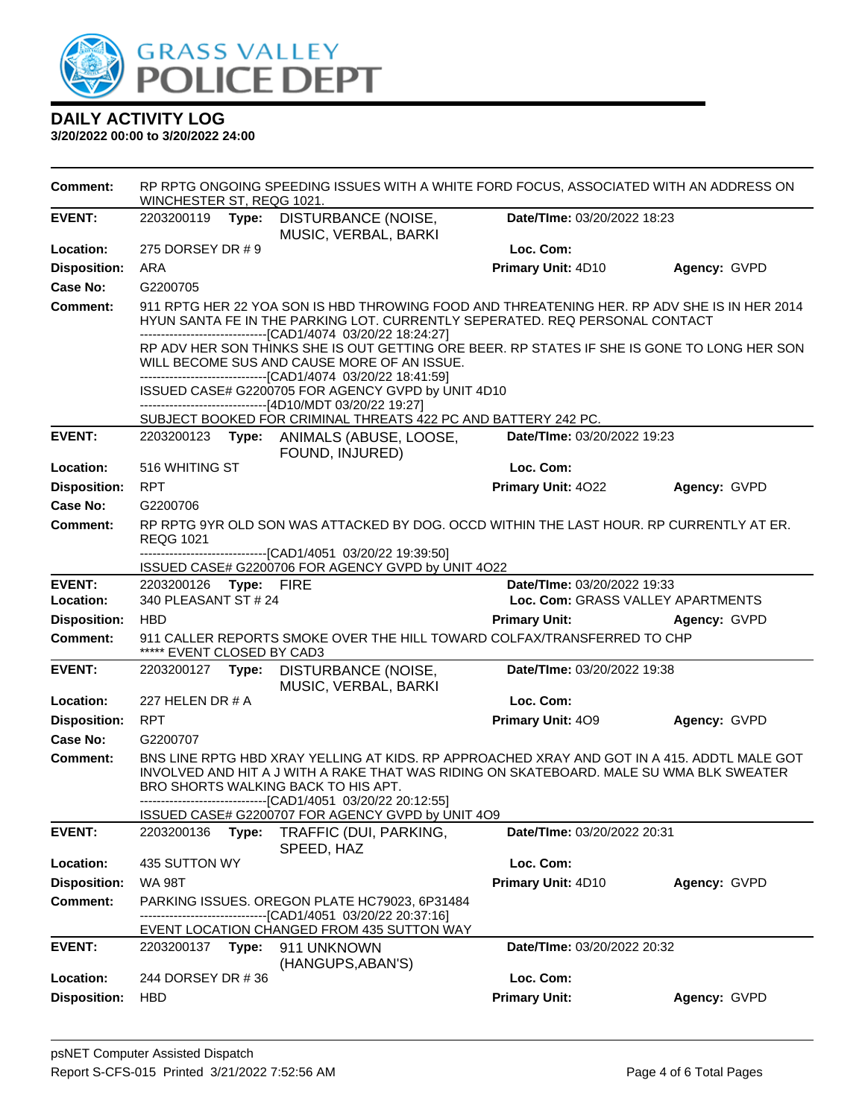

| <b>Comment:</b>     | WINCHESTER ST, REQG 1021.                                                                             | RP RPTG ONGOING SPEEDING ISSUES WITH A WHITE FORD FOCUS, ASSOCIATED WITH AN ADDRESS ON                                                                                                                                                                                                         |                             |                                                                                                                                                                            |  |  |
|---------------------|-------------------------------------------------------------------------------------------------------|------------------------------------------------------------------------------------------------------------------------------------------------------------------------------------------------------------------------------------------------------------------------------------------------|-----------------------------|----------------------------------------------------------------------------------------------------------------------------------------------------------------------------|--|--|
| <b>EVENT:</b>       |                                                                                                       | 2203200119 Type: DISTURBANCE (NOISE,<br>MUSIC, VERBAL, BARKI                                                                                                                                                                                                                                   | Date/TIme: 03/20/2022 18:23 |                                                                                                                                                                            |  |  |
| Location:           | 275 DORSEY DR # 9                                                                                     |                                                                                                                                                                                                                                                                                                | Loc. Com:                   |                                                                                                                                                                            |  |  |
| <b>Disposition:</b> | ARA                                                                                                   |                                                                                                                                                                                                                                                                                                | Primary Unit: 4D10          | Agency: GVPD                                                                                                                                                               |  |  |
| <b>Case No:</b>     | G2200705                                                                                              |                                                                                                                                                                                                                                                                                                |                             |                                                                                                                                                                            |  |  |
| <b>Comment:</b>     |                                                                                                       | --------------------------------[CAD1/4074 03/20/22 18:24:27]                                                                                                                                                                                                                                  |                             | 911 RPTG HER 22 YOA SON IS HBD THROWING FOOD AND THREATENING HER. RP ADV SHE IS IN HER 2014<br>HYUN SANTA FE IN THE PARKING LOT. CURRENTLY SEPERATED. REQ PERSONAL CONTACT |  |  |
|                     |                                                                                                       | WILL BECOME SUS AND CAUSE MORE OF AN ISSUE.<br>--------------------------------[CAD1/4074 03/20/22 18:41:59]                                                                                                                                                                                   |                             | RP ADV HER SON THINKS SHE IS OUT GETTING ORE BEER. RP STATES IF SHE IS GONE TO LONG HER SON                                                                                |  |  |
|                     |                                                                                                       | ISSUED CASE# G2200705 FOR AGENCY GVPD by UNIT 4D10                                                                                                                                                                                                                                             |                             |                                                                                                                                                                            |  |  |
|                     |                                                                                                       | ------------------------------[4D10/MDT 03/20/22 19:27]<br>SUBJECT BOOKED FOR CRIMINAL THREATS 422 PC AND BATTERY 242 PC.                                                                                                                                                                      |                             |                                                                                                                                                                            |  |  |
| <b>EVENT:</b>       |                                                                                                       | 2203200123 Type: ANIMALS (ABUSE, LOOSE,<br>FOUND, INJURED)                                                                                                                                                                                                                                     | Date/TIme: 03/20/2022 19:23 |                                                                                                                                                                            |  |  |
| Location:           | 516 WHITING ST                                                                                        |                                                                                                                                                                                                                                                                                                | Loc. Com:                   |                                                                                                                                                                            |  |  |
| <b>Disposition:</b> | <b>RPT</b>                                                                                            |                                                                                                                                                                                                                                                                                                | <b>Primary Unit: 4022</b>   | Agency: GVPD                                                                                                                                                               |  |  |
| Case No:            | G2200706                                                                                              |                                                                                                                                                                                                                                                                                                |                             |                                                                                                                                                                            |  |  |
| <b>Comment:</b>     | <b>REQG 1021</b>                                                                                      | RP RPTG 9YR OLD SON WAS ATTACKED BY DOG. OCCD WITHIN THE LAST HOUR. RP CURRENTLY AT ER.                                                                                                                                                                                                        |                             |                                                                                                                                                                            |  |  |
|                     |                                                                                                       | -------------------------------[CAD1/4051_03/20/22 19:39:50]<br>ISSUED CASE# G2200706 FOR AGENCY GVPD by UNIT 4O22                                                                                                                                                                             |                             |                                                                                                                                                                            |  |  |
| <b>EVENT:</b>       | 2203200126 Type: FIRE                                                                                 |                                                                                                                                                                                                                                                                                                | Date/TIme: 03/20/2022 19:33 |                                                                                                                                                                            |  |  |
| Location:           | 340 PLEASANT ST # 24                                                                                  |                                                                                                                                                                                                                                                                                                |                             | Loc. Com: GRASS VALLEY APARTMENTS                                                                                                                                          |  |  |
| <b>Disposition:</b> | <b>HBD</b>                                                                                            |                                                                                                                                                                                                                                                                                                | <b>Primary Unit:</b>        | Agency: GVPD                                                                                                                                                               |  |  |
| <b>Comment:</b>     | 911 CALLER REPORTS SMOKE OVER THE HILL TOWARD COLFAX/TRANSFERRED TO CHP<br>***** EVENT CLOSED BY CAD3 |                                                                                                                                                                                                                                                                                                |                             |                                                                                                                                                                            |  |  |
| <b>EVENT:</b>       |                                                                                                       | 2203200127 Type: DISTURBANCE (NOISE,<br>MUSIC, VERBAL, BARKI                                                                                                                                                                                                                                   | Date/TIme: 03/20/2022 19:38 |                                                                                                                                                                            |  |  |
| Location:           | 227 HELEN DR $#A$                                                                                     |                                                                                                                                                                                                                                                                                                | Loc. Com:                   |                                                                                                                                                                            |  |  |
| <b>Disposition:</b> | <b>RPT</b>                                                                                            |                                                                                                                                                                                                                                                                                                | <b>Primary Unit: 409</b>    | Agency: GVPD                                                                                                                                                               |  |  |
| Case No:            | G2200707                                                                                              |                                                                                                                                                                                                                                                                                                |                             |                                                                                                                                                                            |  |  |
| <b>Comment:</b>     |                                                                                                       | BNS LINE RPTG HBD XRAY YELLING AT KIDS. RP APPROACHED XRAY AND GOT IN A 415. ADDTL MALE GOT<br>INVOLVED AND HIT A J WITH A RAKE THAT WAS RIDING ON SKATEBOARD. MALE SU WMA BLK SWEATER<br>BRO SHORTS WALKING BACK TO HIS APT.<br>------------------------------[CAD1/4051   03/20/22 20:12:55] |                             |                                                                                                                                                                            |  |  |
|                     |                                                                                                       | ISSUED CASE# G2200707 FOR AGENCY GVPD by UNIT 4O9                                                                                                                                                                                                                                              |                             |                                                                                                                                                                            |  |  |
| <b>EVENT:</b>       | 2203200136                                                                                            | Type:<br>TRAFFIC (DUI, PARKING,<br>SPEED, HAZ                                                                                                                                                                                                                                                  | Date/TIme: 03/20/2022 20:31 |                                                                                                                                                                            |  |  |
| Location:           | 435 SUTTON WY                                                                                         |                                                                                                                                                                                                                                                                                                | Loc. Com:                   |                                                                                                                                                                            |  |  |
| <b>Disposition:</b> | <b>WA 98T</b>                                                                                         |                                                                                                                                                                                                                                                                                                | Primary Unit: 4D10          | Agency: GVPD                                                                                                                                                               |  |  |
| <b>Comment:</b>     |                                                                                                       | PARKING ISSUES. OREGON PLATE HC79023, 6P31484<br>--[CAD1/4051 03/20/22 20:37:16]                                                                                                                                                                                                               |                             |                                                                                                                                                                            |  |  |
| <b>EVENT:</b>       | 2203200137<br>Type:                                                                                   | EVENT LOCATION CHANGED FROM 435 SUTTON WAY<br>911 UNKNOWN<br>(HANGUPS, ABAN'S)                                                                                                                                                                                                                 | Date/TIme: 03/20/2022 20:32 |                                                                                                                                                                            |  |  |
| Location:           | 244 DORSEY DR #36                                                                                     |                                                                                                                                                                                                                                                                                                | Loc. Com:                   |                                                                                                                                                                            |  |  |
| <b>Disposition:</b> | <b>HBD</b>                                                                                            |                                                                                                                                                                                                                                                                                                | <b>Primary Unit:</b>        | Agency: GVPD                                                                                                                                                               |  |  |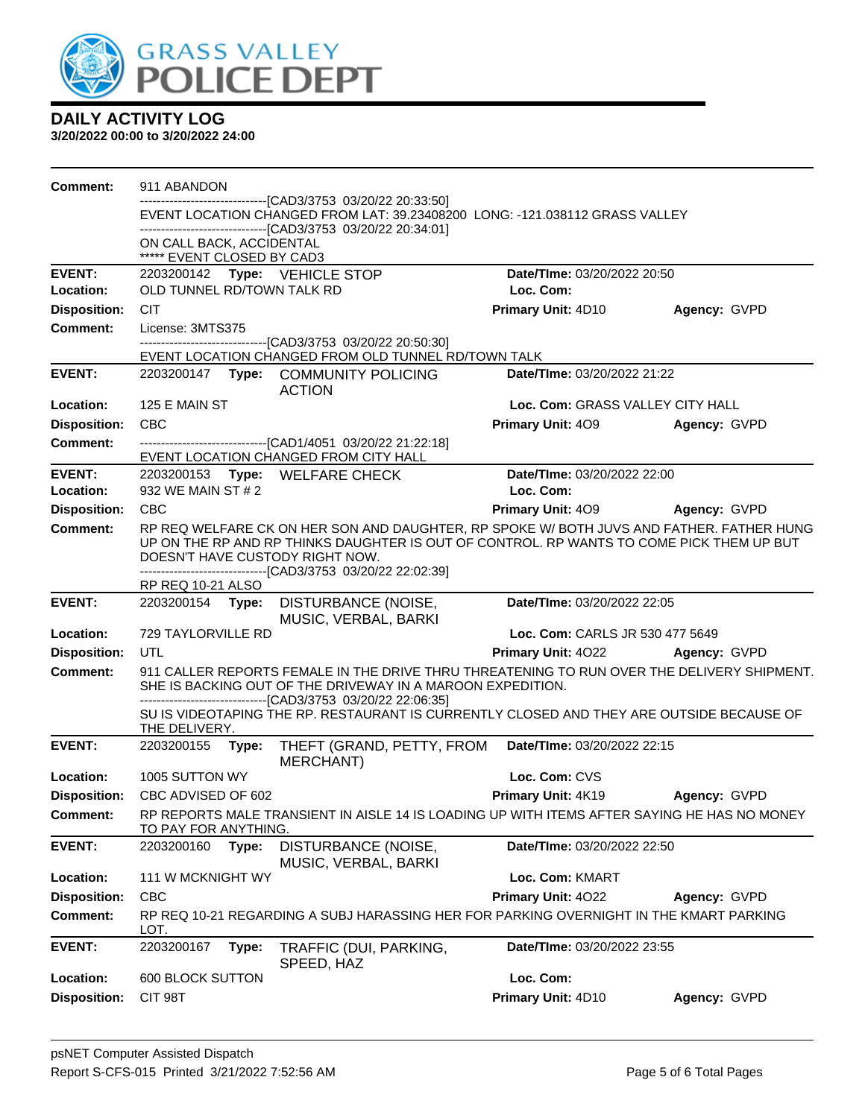

| <b>Comment:</b>                  | 911 ABANDON                                                                                                                                                                                           |       |                                                                                                                                                                                                                                                                                         |                                  |              |
|----------------------------------|-------------------------------------------------------------------------------------------------------------------------------------------------------------------------------------------------------|-------|-----------------------------------------------------------------------------------------------------------------------------------------------------------------------------------------------------------------------------------------------------------------------------------------|----------------------------------|--------------|
|                                  | -------------------------[CAD3/3753_03/20/22_20:33:50]<br>EVENT LOCATION CHANGED FROM LAT: 39.23408200 LONG: -121.038112 GRASS VALLEY<br>-------------------------------[CAD3/3753_03/20/22_20:34:01] |       |                                                                                                                                                                                                                                                                                         |                                  |              |
|                                  | ON CALL BACK, ACCIDENTAL                                                                                                                                                                              |       |                                                                                                                                                                                                                                                                                         |                                  |              |
|                                  | ***** EVENT CLOSED BY CAD3                                                                                                                                                                            |       |                                                                                                                                                                                                                                                                                         |                                  |              |
| <b>EVENT:</b>                    |                                                                                                                                                                                                       |       |                                                                                                                                                                                                                                                                                         | Date/TIme: 03/20/2022 20:50      |              |
| Location:                        | OLD TUNNEL RD/TOWN TALK RD                                                                                                                                                                            |       |                                                                                                                                                                                                                                                                                         | Loc. Com:                        |              |
| <b>Disposition:</b>              | <b>CIT</b>                                                                                                                                                                                            |       |                                                                                                                                                                                                                                                                                         | Primary Unit: 4D10               | Agency: GVPD |
| Comment:                         | License: 3MTS375                                                                                                                                                                                      |       | -------------------------------[CAD3/3753 03/20/22 20:50:30]                                                                                                                                                                                                                            |                                  |              |
|                                  |                                                                                                                                                                                                       |       | EVENT LOCATION CHANGED FROM OLD TUNNEL RD/TOWN TALK                                                                                                                                                                                                                                     |                                  |              |
| <b>EVENT:</b>                    |                                                                                                                                                                                                       |       | 2203200147 Type: COMMUNITY POLICING<br><b>ACTION</b>                                                                                                                                                                                                                                    | Date/TIme: 03/20/2022 21:22      |              |
| Location:                        | 125 E MAIN ST                                                                                                                                                                                         |       |                                                                                                                                                                                                                                                                                         | Loc. Com: GRASS VALLEY CITY HALL |              |
| <b>Disposition:</b>              | <b>CBC</b>                                                                                                                                                                                            |       |                                                                                                                                                                                                                                                                                         | <b>Primary Unit: 409</b>         | Agency: GVPD |
| Comment:                         |                                                                                                                                                                                                       |       | -------------------------------[CAD1/4051 03/20/22 21:22:18]<br>EVENT LOCATION CHANGED FROM CITY HALL                                                                                                                                                                                   |                                  |              |
| <b>EVENT:</b>                    |                                                                                                                                                                                                       |       | 2203200153 Type: WELFARE CHECK                                                                                                                                                                                                                                                          | Date/TIme: 03/20/2022 22:00      |              |
| Location:                        | 932 WE MAIN ST # 2                                                                                                                                                                                    |       |                                                                                                                                                                                                                                                                                         | Loc. Com:                        |              |
| <b>Disposition:</b>              | CBC                                                                                                                                                                                                   |       |                                                                                                                                                                                                                                                                                         | <b>Primary Unit: 409</b>         | Agency: GVPD |
| <b>Comment:</b>                  |                                                                                                                                                                                                       |       | RP REQ WELFARE CK ON HER SON AND DAUGHTER, RP SPOKE W/ BOTH JUVS AND FATHER. FATHER HUNG<br>UP ON THE RP AND RP THINKS DAUGHTER IS OUT OF CONTROL. RP WANTS TO COME PICK THEM UP BUT<br>DOESN'T HAVE CUSTODY RIGHT NOW.<br>-------------------------------[CAD3/3753 03/20/22 22:02:39] |                                  |              |
|                                  | RP REQ 10-21 ALSO                                                                                                                                                                                     |       |                                                                                                                                                                                                                                                                                         |                                  |              |
|                                  |                                                                                                                                                                                                       |       |                                                                                                                                                                                                                                                                                         |                                  |              |
| <b>EVENT:</b>                    | 2203200154 Type:                                                                                                                                                                                      |       | DISTURBANCE (NOISE,                                                                                                                                                                                                                                                                     | Date/TIme: 03/20/2022 22:05      |              |
| Location:                        | 729 TAYLORVILLE RD                                                                                                                                                                                    |       | MUSIC, VERBAL, BARKI                                                                                                                                                                                                                                                                    | Loc. Com: CARLS JR 530 477 5649  |              |
| <b>Disposition:</b>              | UTL                                                                                                                                                                                                   |       |                                                                                                                                                                                                                                                                                         | Primary Unit: 4022               | Agency: GVPD |
| <b>Comment:</b>                  |                                                                                                                                                                                                       |       | 911 CALLER REPORTS FEMALE IN THE DRIVE THRU THREATENING TO RUN OVER THE DELIVERY SHIPMENT.<br>SHE IS BACKING OUT OF THE DRIVEWAY IN A MAROON EXPEDITION.                                                                                                                                |                                  |              |
|                                  | THE DELIVERY.                                                                                                                                                                                         |       | -------------------------------[CAD3/3753_03/20/22_22:06:35]<br>SU IS VIDEOTAPING THE RP. RESTAURANT IS CURRENTLY CLOSED AND THEY ARE OUTSIDE BECAUSE OF                                                                                                                                |                                  |              |
| <b>EVENT:</b>                    | 2203200155                                                                                                                                                                                            | Type: | THEFT (GRAND, PETTY, FROM<br><b>MERCHANT)</b>                                                                                                                                                                                                                                           | Date/TIme: 03/20/2022 22:15      |              |
| Location:                        | 1005 SUTTON WY                                                                                                                                                                                        |       |                                                                                                                                                                                                                                                                                         | Loc. Com: CVS                    |              |
| <b>Disposition:</b>              | CBC ADVISED OF 602                                                                                                                                                                                    |       |                                                                                                                                                                                                                                                                                         | Primary Unit: 4K19               | Agency: GVPD |
| <b>Comment:</b>                  | TO PAY FOR ANYTHING.                                                                                                                                                                                  |       | RP REPORTS MALE TRANSIENT IN AISLE 14 IS LOADING UP WITH ITEMS AFTER SAYING HE HAS NO MONEY                                                                                                                                                                                             |                                  |              |
| <b>EVENT:</b>                    | 2203200160                                                                                                                                                                                            | Type: | DISTURBANCE (NOISE,<br>MUSIC, VERBAL, BARKI                                                                                                                                                                                                                                             | Date/TIme: 03/20/2022 22:50      |              |
| Location:                        | 111 W MCKNIGHT WY                                                                                                                                                                                     |       |                                                                                                                                                                                                                                                                                         | Loc. Com: KMART                  |              |
| <b>Disposition:</b>              | <b>CBC</b>                                                                                                                                                                                            |       |                                                                                                                                                                                                                                                                                         | Primary Unit: 4022               | Agency: GVPD |
| <b>Comment:</b>                  | LOT.                                                                                                                                                                                                  |       | RP REQ 10-21 REGARDING A SUBJ HARASSING HER FOR PARKING OVERNIGHT IN THE KMART PARKING                                                                                                                                                                                                  |                                  |              |
| <b>EVENT:</b>                    | 2203200167                                                                                                                                                                                            | Type: | TRAFFIC (DUI, PARKING,<br>SPEED, HAZ                                                                                                                                                                                                                                                    | Date/TIme: 03/20/2022 23:55      |              |
| Location:<br><b>Disposition:</b> | 600 BLOCK SUTTON<br>CIT 98T                                                                                                                                                                           |       |                                                                                                                                                                                                                                                                                         | Loc. Com:<br>Primary Unit: 4D10  |              |